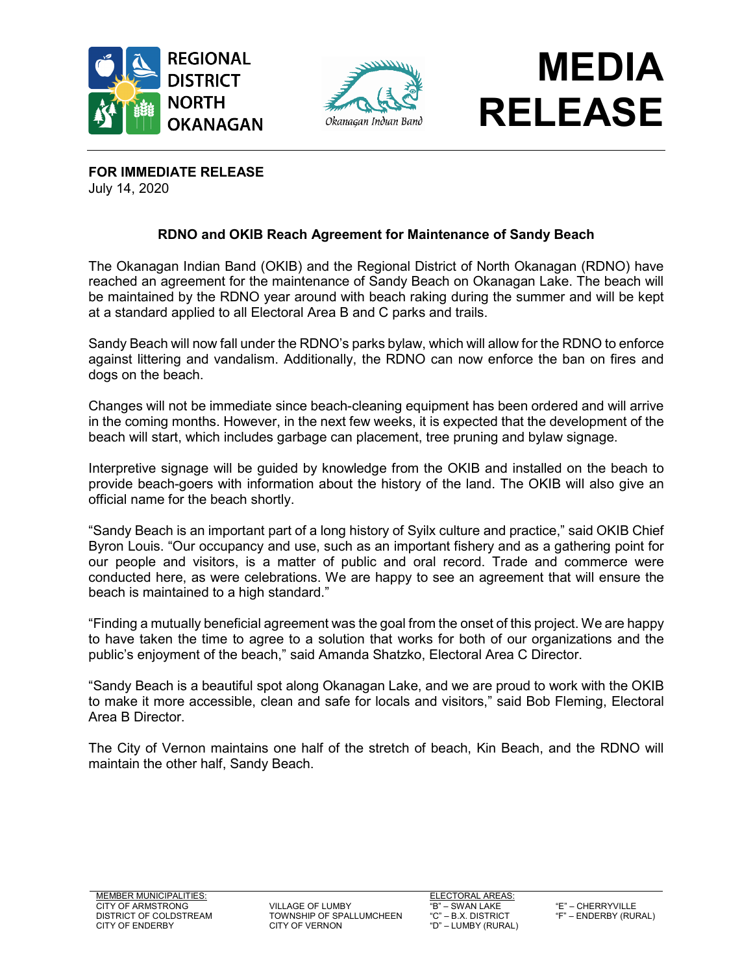





**FOR IMMEDIATE RELEASE** July 14, 2020

## **RDNO and OKIB Reach Agreement for Maintenance of Sandy Beach**

The Okanagan Indian Band (OKIB) and the Regional District of North Okanagan (RDNO) have reached an agreement for the maintenance of Sandy Beach on Okanagan Lake. The beach will be maintained by the RDNO year around with beach raking during the summer and will be kept at a standard applied to all Electoral Area B and C parks and trails.

Sandy Beach will now fall under the RDNO's parks bylaw, which will allow for the RDNO to enforce against littering and vandalism. Additionally, the RDNO can now enforce the ban on fires and dogs on the beach.

Changes will not be immediate since beach-cleaning equipment has been ordered and will arrive in the coming months. However, in the next few weeks, it is expected that the development of the beach will start, which includes garbage can placement, tree pruning and bylaw signage.

Interpretive signage will be guided by knowledge from the OKIB and installed on the beach to provide beach-goers with information about the history of the land. The OKIB will also give an official name for the beach shortly.

"Sandy Beach is an important part of a long history of Syilx culture and practice," said OKIB Chief Byron Louis. "Our occupancy and use, such as an important fishery and as a gathering point for our people and visitors, is a matter of public and oral record. Trade and commerce were conducted here, as were celebrations. We are happy to see an agreement that will ensure the beach is maintained to a high standard."

"Finding a mutually beneficial agreement was the goal from the onset of this project. We are happy to have taken the time to agree to a solution that works for both of our organizations and the public's enjoyment of the beach," said Amanda Shatzko, Electoral Area C Director.

"Sandy Beach is a beautiful spot along Okanagan Lake, and we are proud to work with the OKIB to make it more accessible, clean and safe for locals and visitors," said Bob Fleming, Electoral Area B Director.

The City of Vernon maintains one half of the stretch of beach, Kin Beach, and the RDNO will maintain the other half, Sandy Beach.